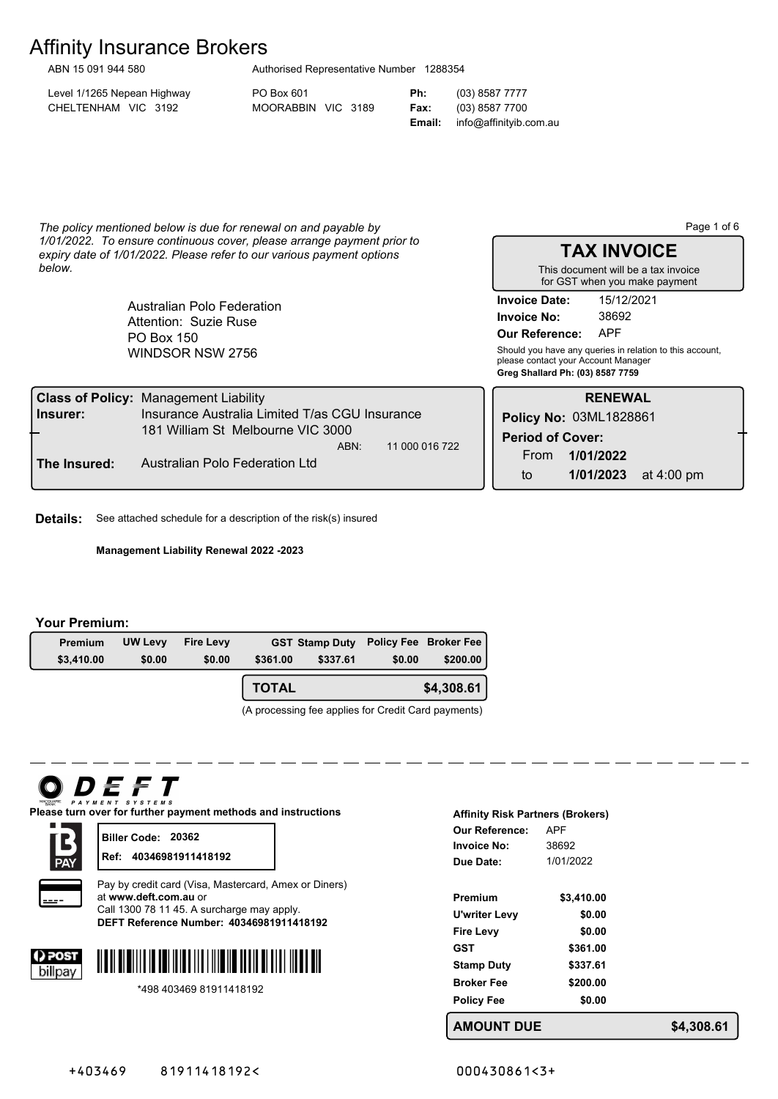# Affinity Insurance Brokers ABN 15 091 944 580

| Authorised Representative Number 1288354 |  |  |
|------------------------------------------|--|--|
|                                          |  |  |

Level 1/1265 Nepean Highway PO Box 601 **Ph:** (03) 8587 7777 CHELTENHAM VIC 3192 MOORABBIN VIC 3189 **Fax:** (03) 8587 7700

**Email:** info@affinityib.com.au

*The policy mentioned below is due for renewal on and payable by 1/01/2022. To ensure continuous cover, please arrange payment prior to expiry date of 1/01/2022. Please refer to our various payment options below.*

> WINDSOR NSW 2756 PO Box 150 Australian Polo Federation Attention: Suzie Ruse

Page 1 of 6

**TAX INVOICE** This document will be a tax invoice for GST when you make payment

**Invoice No:** 38692 **Invoice Date:** 15/12/2021

**Our Reference:** APF

**Greg Shallard Ph: (03) 8587 7759** Should you have any queries in relation to this account, please contact your Account Manager

|                                                                          | <b>Class of Policy: Management Liability</b>   |             |                         | <b>RENEWAL</b>         |            |
|--------------------------------------------------------------------------|------------------------------------------------|-------------|-------------------------|------------------------|------------|
| Insurer:                                                                 | Insurance Australia Limited T/as CGU Insurance |             |                         | Policy No: 03ML1828861 |            |
| ┶                                                                        | 181 William St Melbourne VIC 3000              |             | <b>Period of Cover:</b> |                        |            |
| 11 000 016 722<br>ABN:<br>Australian Polo Federation Ltd<br>The Insured: |                                                | <b>From</b> | 1/01/2022               |                        |            |
|                                                                          |                                                |             | to                      | 1/01/2023              | at 4:00 pm |

**Details:** See attached schedule for a description of the risk(s) insured

**Management Liability Renewal 2022 -2023**

#### **Your Premium:**

| <b>Premium</b> | UW Levy | <b>Fire Levy</b> |          | <b>GST Stamp Duty Policy Fee Broker Fee</b> |        |            |
|----------------|---------|------------------|----------|---------------------------------------------|--------|------------|
| \$3,410.00     | \$0.00  | \$0.00           | \$361.00 | \$337.61                                    | \$0.00 | \$200.00   |
|                |         |                  | TOTAL    |                                             |        | \$4,308.61 |

(A processing fee applies for Credit Card payments)

# DEFT

**Please turn over for further payment methods and instructions**



**Biller Code: 20362 Ref: 40346981911418192**



**40346981911418192 DEFT Reference Number:** Pay by credit card (Visa, Mastercard, Amex or Diners) at **www.deft.com.au** or Call 1300 78 11 45. A surcharge may apply.





| <b>Affinity Risk Partners (Brokers)</b> |            |  |  |
|-----------------------------------------|------------|--|--|
| Our Reference:                          | <b>APF</b> |  |  |
| Invoice No:                             | 38692      |  |  |
| Due Date:                               | 1/01/2022  |  |  |
|                                         |            |  |  |
| Premium                                 | \$3,410.00 |  |  |
| U'writer Levy                           | \$0.00     |  |  |
| <b>Fire Levy</b>                        | \$0.00     |  |  |
| GST                                     | \$361.00   |  |  |
| <b>Stamp Duty</b>                       | \$337.61   |  |  |
| <b>Broker Fee</b>                       | \$200.00   |  |  |
| <b>Policy Fee</b>                       | \$0.00     |  |  |
| NT DUF<br>MOUI                          |            |  |  |

**AMOUNT DUE \$4,308.61**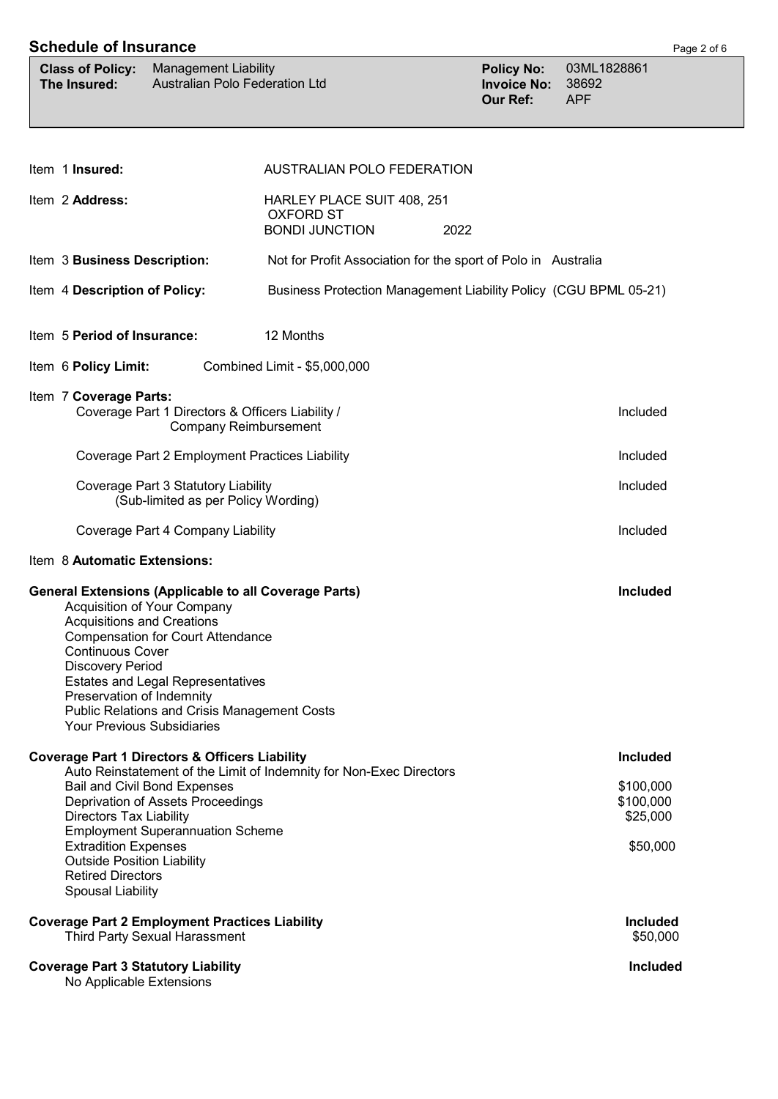| <b>Schedule of Insurance</b>                                                                                                                                                                                              |                                                                                                                                                                            |                                                                                 |                                                            |                                                                   | Page 2 of 6 |
|---------------------------------------------------------------------------------------------------------------------------------------------------------------------------------------------------------------------------|----------------------------------------------------------------------------------------------------------------------------------------------------------------------------|---------------------------------------------------------------------------------|------------------------------------------------------------|-------------------------------------------------------------------|-------------|
| <b>Class of Policy:</b><br>The Insured:                                                                                                                                                                                   | <b>Management Liability</b><br>Australian Polo Federation Ltd                                                                                                              |                                                                                 | <b>Policy No:</b><br><b>Invoice No:</b><br><b>Our Ref:</b> | 03ML1828861<br>38692<br><b>APF</b>                                |             |
|                                                                                                                                                                                                                           |                                                                                                                                                                            |                                                                                 |                                                            |                                                                   |             |
| Item 1 Insured:                                                                                                                                                                                                           |                                                                                                                                                                            | AUSTRALIAN POLO FEDERATION                                                      |                                                            |                                                                   |             |
| Item 2 Address:                                                                                                                                                                                                           |                                                                                                                                                                            | HARLEY PLACE SUIT 408, 251<br><b>OXFORD ST</b><br><b>BONDI JUNCTION</b><br>2022 |                                                            |                                                                   |             |
| Item 3 Business Description:                                                                                                                                                                                              |                                                                                                                                                                            | Not for Profit Association for the sport of Polo in Australia                   |                                                            |                                                                   |             |
| Item 4 Description of Policy:                                                                                                                                                                                             |                                                                                                                                                                            | Business Protection Management Liability Policy (CGU BPML 05-21)                |                                                            |                                                                   |             |
| Item 5 Period of Insurance:                                                                                                                                                                                               |                                                                                                                                                                            | 12 Months                                                                       |                                                            |                                                                   |             |
| Item 6 Policy Limit:                                                                                                                                                                                                      |                                                                                                                                                                            | Combined Limit - \$5,000,000                                                    |                                                            |                                                                   |             |
| Item 7 Coverage Parts:                                                                                                                                                                                                    | Coverage Part 1 Directors & Officers Liability /<br><b>Company Reimbursement</b>                                                                                           |                                                                                 |                                                            | Included                                                          |             |
|                                                                                                                                                                                                                           | Coverage Part 2 Employment Practices Liability                                                                                                                             |                                                                                 |                                                            | Included                                                          |             |
|                                                                                                                                                                                                                           | Coverage Part 3 Statutory Liability<br>(Sub-limited as per Policy Wording)                                                                                                 |                                                                                 |                                                            | Included                                                          |             |
| Coverage Part 4 Company Liability<br>Included                                                                                                                                                                             |                                                                                                                                                                            |                                                                                 |                                                            |                                                                   |             |
| Item 8 Automatic Extensions:                                                                                                                                                                                              |                                                                                                                                                                            |                                                                                 |                                                            |                                                                   |             |
| <b>General Extensions (Applicable to all Coverage Parts)</b><br><b>Acquisitions and Creations</b><br><b>Continuous Cover</b><br><b>Discovery Period</b><br>Preservation of Indemnity<br><b>Your Previous Subsidiaries</b> | Acquisition of Your Company<br><b>Compensation for Court Attendance</b><br><b>Estates and Legal Representatives</b><br><b>Public Relations and Crisis Management Costs</b> |                                                                                 |                                                            | Included                                                          |             |
| <b>Coverage Part 1 Directors &amp; Officers Liability</b><br><b>Directors Tax Liability</b><br><b>Extradition Expenses</b><br><b>Outside Position Liability</b><br><b>Retired Directors</b><br>Spousal Liability          | <b>Bail and Civil Bond Expenses</b><br>Deprivation of Assets Proceedings<br><b>Employment Superannuation Scheme</b>                                                        | Auto Reinstatement of the Limit of Indemnity for Non-Exec Directors             |                                                            | <b>Included</b><br>\$100,000<br>\$100,000<br>\$25,000<br>\$50,000 |             |
| <b>Coverage Part 2 Employment Practices Liability</b>                                                                                                                                                                     | <b>Third Party Sexual Harassment</b>                                                                                                                                       |                                                                                 |                                                            | <b>Included</b><br>\$50,000                                       |             |
| <b>Coverage Part 3 Statutory Liability</b><br>No Applicable Extensions                                                                                                                                                    |                                                                                                                                                                            |                                                                                 |                                                            | Included                                                          |             |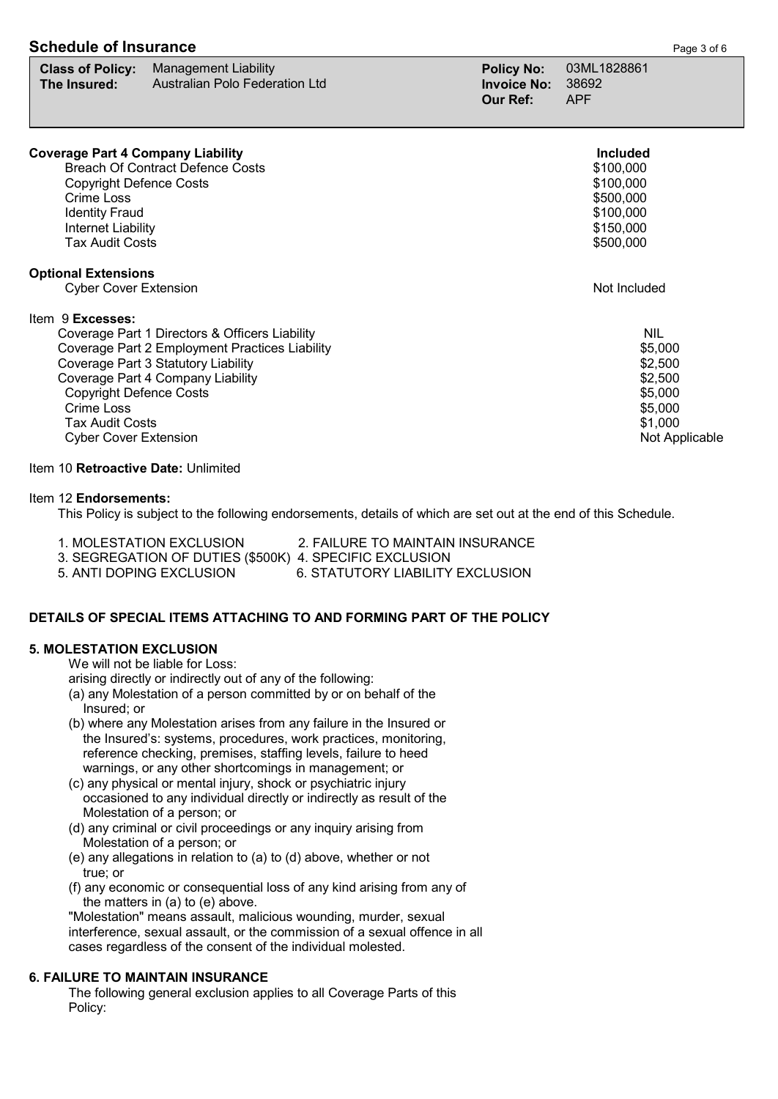| <b>Schedule of Insurance</b> | Page 3 of 6 |
|------------------------------|-------------|
|                              |             |

|                             | <b>Class of Policy:</b> Management Liability |                   | Policy No: 03ML1828861 |
|-----------------------------|----------------------------------------------|-------------------|------------------------|
| The Insured: $\blacksquare$ | Australian Polo Federation Ltd               | Invoice No: 38692 |                        |
|                             |                                              | Our Ref:          | <b>APF</b>             |

| <b>Coverage Part 4 Company Liability</b><br><b>Breach Of Contract Defence Costs</b><br><b>Copyright Defence Costs</b><br>Crime Loss<br><b>Identity Fraud</b><br>Internet Liability<br><b>Tax Audit Costs</b>                                                                                        | <b>Included</b><br>\$100,000<br>\$100,000<br>\$500,000<br>\$100,000<br>\$150,000<br>\$500,000  |
|-----------------------------------------------------------------------------------------------------------------------------------------------------------------------------------------------------------------------------------------------------------------------------------------------------|------------------------------------------------------------------------------------------------|
| <b>Optional Extensions</b><br><b>Cyber Cover Extension</b>                                                                                                                                                                                                                                          | Not Included                                                                                   |
| Item 9 Excesses:<br>Coverage Part 1 Directors & Officers Liability<br>Coverage Part 2 Employment Practices Liability<br>Coverage Part 3 Statutory Liability<br>Coverage Part 4 Company Liability<br><b>Copyright Defence Costs</b><br>Crime Loss<br>Tax Audit Costs<br><b>Cyber Cover Extension</b> | <b>NIL</b><br>\$5,000<br>\$2,500<br>\$2,500<br>\$5,000<br>\$5,000<br>\$1,000<br>Not Applicable |

Item 10 **Retroactive Date:** Unlimited

#### Item 12 **Endorsements:**

This Policy is subject to the following endorsements, details of which are set out at the end of this Schedule.

1. MOLESTATION EXCLUSION 2. FAILURE TO MAINTAIN INSURANCE

3. SEGREGATION OF DUTIES (\$500K) 4. SPECIFIC EXCLUSION

5. ANTI DOPING EXCLUSION 6. STATUTORY LIABILITY EXCLUSION

## **DETAILS OF SPECIAL ITEMS ATTACHING TO AND FORMING PART OF THE POLICY**

### **5. MOLESTATION EXCLUSION**

We will not be liable for Loss:

arising directly or indirectly out of any of the following:

- (a) any Molestation of a person committed by or on behalf of the Insured; or
- (b) where any Molestation arises from any failure in the Insured or the Insured's: systems, procedures, work practices, monitoring, reference checking, premises, staffing levels, failure to heed warnings, or any other shortcomings in management; or
- (c) any physical or mental injury, shock or psychiatric injury occasioned to any individual directly or indirectly as result of the Molestation of a person; or
- (d) any criminal or civil proceedings or any inquiry arising from Molestation of a person; or
- (e) any allegations in relation to (a) to (d) above, whether or not true; or
- (f) any economic or consequential loss of any kind arising from any of the matters in (a) to (e) above.

 "Molestation" means assault, malicious wounding, murder, sexual interference, sexual assault, or the commission of a sexual offence in all cases regardless of the consent of the individual molested.

## **6. FAILURE TO MAINTAIN INSURANCE**

 The following general exclusion applies to all Coverage Parts of this Policy: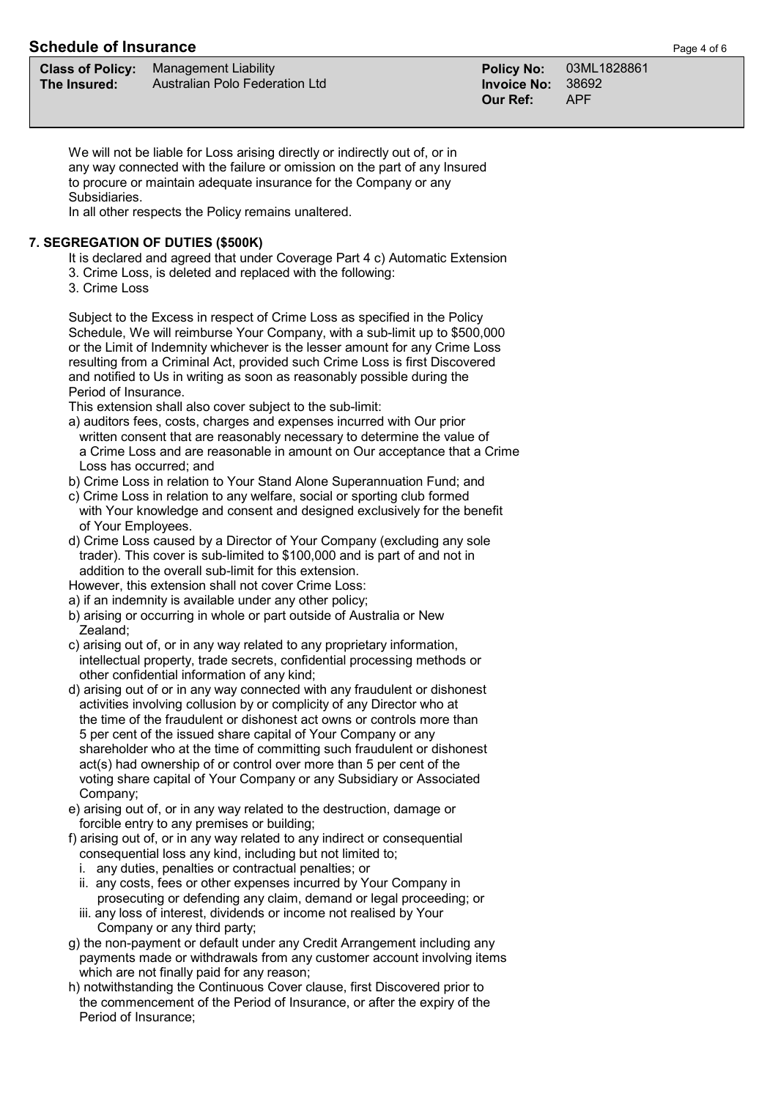# **Schedule of Insurance Page 4 of 6 Page 4 of 6 Page 4 of 6**

| <b>Class of Poli</b> |  |  |
|----------------------|--|--|
| The Insured:         |  |  |

**Class of Policy:** Management Liability **Policy No:** 03ML1828861 **The Insured:** Australian Polo Federation Ltd **Invoice No:** 38692

**Our Ref:** 

We will not be liable for Loss arising directly or indirectly out of, or in any way connected with the failure or omission on the part of any Insured to procure or maintain adequate insurance for the Company or any Subsidiaries.

In all other respects the Policy remains unaltered.

# **7. SEGREGATION OF DUTIES (\$500K)**

It is declared and agreed that under Coverage Part 4 c) Automatic Extension

- 3. Crime Loss, is deleted and replaced with the following:
- 3. Crime Loss

 Subject to the Excess in respect of Crime Loss as specified in the Policy Schedule, We will reimburse Your Company, with a sub-limit up to \$500,000 or the Limit of Indemnity whichever is the lesser amount for any Crime Loss resulting from a Criminal Act, provided such Crime Loss is first Discovered and notified to Us in writing as soon as reasonably possible during the Period of Insurance.

This extension shall also cover subject to the sub-limit:

- a) auditors fees, costs, charges and expenses incurred with Our prior written consent that are reasonably necessary to determine the value of a Crime Loss and are reasonable in amount on Our acceptance that a Crime Loss has occurred; and
- b) Crime Loss in relation to Your Stand Alone Superannuation Fund; and
- c) Crime Loss in relation to any welfare, social or sporting club formed with Your knowledge and consent and designed exclusively for the benefit of Your Employees.
- d) Crime Loss caused by a Director of Your Company (excluding any sole trader). This cover is sub-limited to \$100,000 and is part of and not in addition to the overall sub-limit for this extension.
- However, this extension shall not cover Crime Loss:
- a) if an indemnity is available under any other policy;
- b) arising or occurring in whole or part outside of Australia or New Zealand;
- c) arising out of, or in any way related to any proprietary information, intellectual property, trade secrets, confidential processing methods or other confidential information of any kind;
- d) arising out of or in any way connected with any fraudulent or dishonest activities involving collusion by or complicity of any Director who at the time of the fraudulent or dishonest act owns or controls more than 5 per cent of the issued share capital of Your Company or any shareholder who at the time of committing such fraudulent or dishonest act(s) had ownership of or control over more than 5 per cent of the voting share capital of Your Company or any Subsidiary or Associated Company;
- e) arising out of, or in any way related to the destruction, damage or forcible entry to any premises or building;
- f) arising out of, or in any way related to any indirect or consequential consequential loss any kind, including but not limited to;
	- i. any duties, penalties or contractual penalties; or
	- ii. any costs, fees or other expenses incurred by Your Company in prosecuting or defending any claim, demand or legal proceeding; or
	- iii. any loss of interest, dividends or income not realised by Your Company or any third party;
- g) the non-payment or default under any Credit Arrangement including any payments made or withdrawals from any customer account involving items which are not finally paid for any reason;
- h) notwithstanding the Continuous Cover clause, first Discovered prior to the commencement of the Period of Insurance, or after the expiry of the Period of Insurance;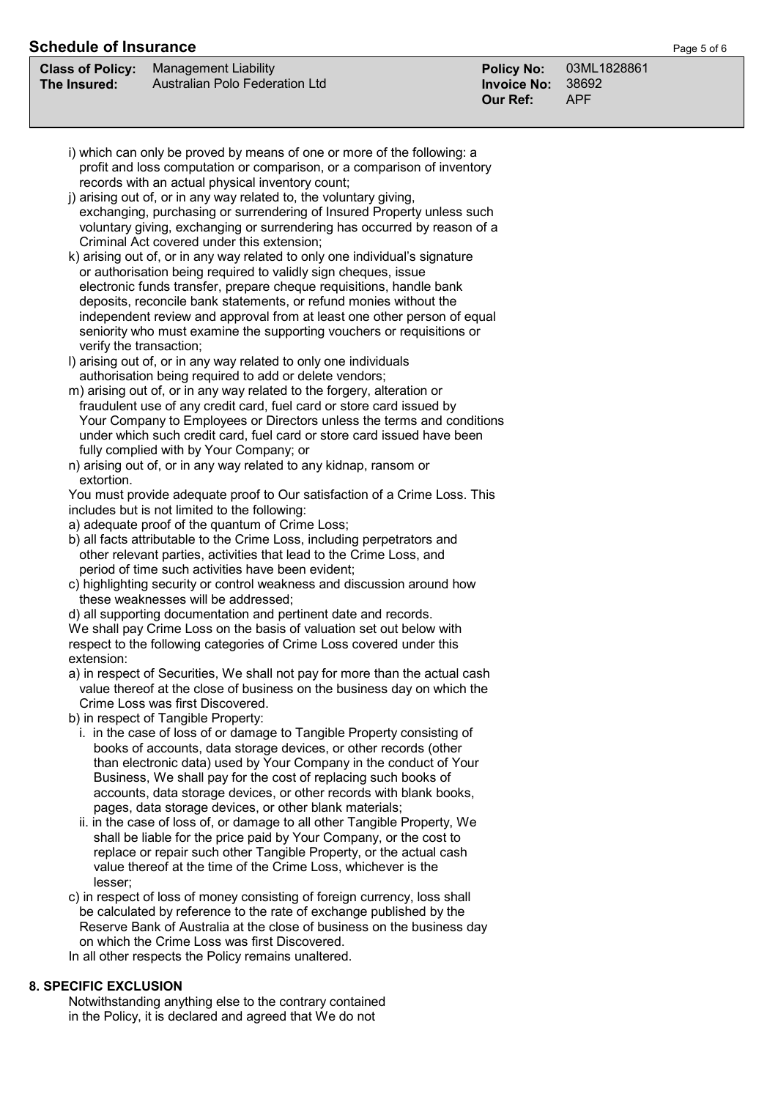# **Schedule of Insurance Page 5 of 6**

|              | <b>Class of Policy:</b> Management Liability | Policy No: 03ML   |  |
|--------------|----------------------------------------------|-------------------|--|
| The Insured: | Australian Polo Federation Ltd               | Invoice No: 38692 |  |

| i) which can only be proved by means of one or more of the following: a                                                                                                                                                           |
|-----------------------------------------------------------------------------------------------------------------------------------------------------------------------------------------------------------------------------------|
| profit and loss computation or comparison, or a comparison of inventory                                                                                                                                                           |
| records with an actual physical inventory count;                                                                                                                                                                                  |
| $\mathbf{A}$ , and a set of the contract of the contract of the contract of the contract of the contract of the contract of the contract of the contract of the contract of the contract of the contract of the contract of the c |

- j) arising out of, or in any way related to, the voluntary giving, exchanging, purchasing or surrendering of Insured Property unless such voluntary giving, exchanging or surrendering has occurred by reason of a Criminal Act covered under this extension;
- k) arising out of, or in any way related to only one individual's signature or authorisation being required to validly sign cheques, issue electronic funds transfer, prepare cheque requisitions, handle bank deposits, reconcile bank statements, or refund monies without the independent review and approval from at least one other person of equal seniority who must examine the supporting vouchers or requisitions or verify the transaction;
- l) arising out of, or in any way related to only one individuals authorisation being required to add or delete vendors;
- m) arising out of, or in any way related to the forgery, alteration or fraudulent use of any credit card, fuel card or store card issued by Your Company to Employees or Directors unless the terms and conditions under which such credit card, fuel card or store card issued have been fully complied with by Your Company; or
- n) arising out of, or in any way related to any kidnap, ransom or extortion.

 You must provide adequate proof to Our satisfaction of a Crime Loss. This includes but is not limited to the following:

- a) adequate proof of the quantum of Crime Loss;
- b) all facts attributable to the Crime Loss, including perpetrators and other relevant parties, activities that lead to the Crime Loss, and period of time such activities have been evident;
- c) highlighting security or control weakness and discussion around how these weaknesses will be addressed;
- d) all supporting documentation and pertinent date and records.

 We shall pay Crime Loss on the basis of valuation set out below with respect to the following categories of Crime Loss covered under this extension:

 a) in respect of Securities, We shall not pay for more than the actual cash value thereof at the close of business on the business day on which the Crime Loss was first Discovered.

b) in respect of Tangible Property:

- i. in the case of loss of or damage to Tangible Property consisting of books of accounts, data storage devices, or other records (other than electronic data) used by Your Company in the conduct of Your Business, We shall pay for the cost of replacing such books of accounts, data storage devices, or other records with blank books, pages, data storage devices, or other blank materials;
- ii. in the case of loss of, or damage to all other Tangible Property, We shall be liable for the price paid by Your Company, or the cost to replace or repair such other Tangible Property, or the actual cash value thereof at the time of the Crime Loss, whichever is the lesser;
- c) in respect of loss of money consisting of foreign currency, loss shall be calculated by reference to the rate of exchange published by the Reserve Bank of Australia at the close of business on the business day on which the Crime Loss was first Discovered.
- In all other respects the Policy remains unaltered.

# **8. SPECIFIC EXCLUSION**

 Notwithstanding anything else to the contrary contained in the Policy, it is declared and agreed that We do not